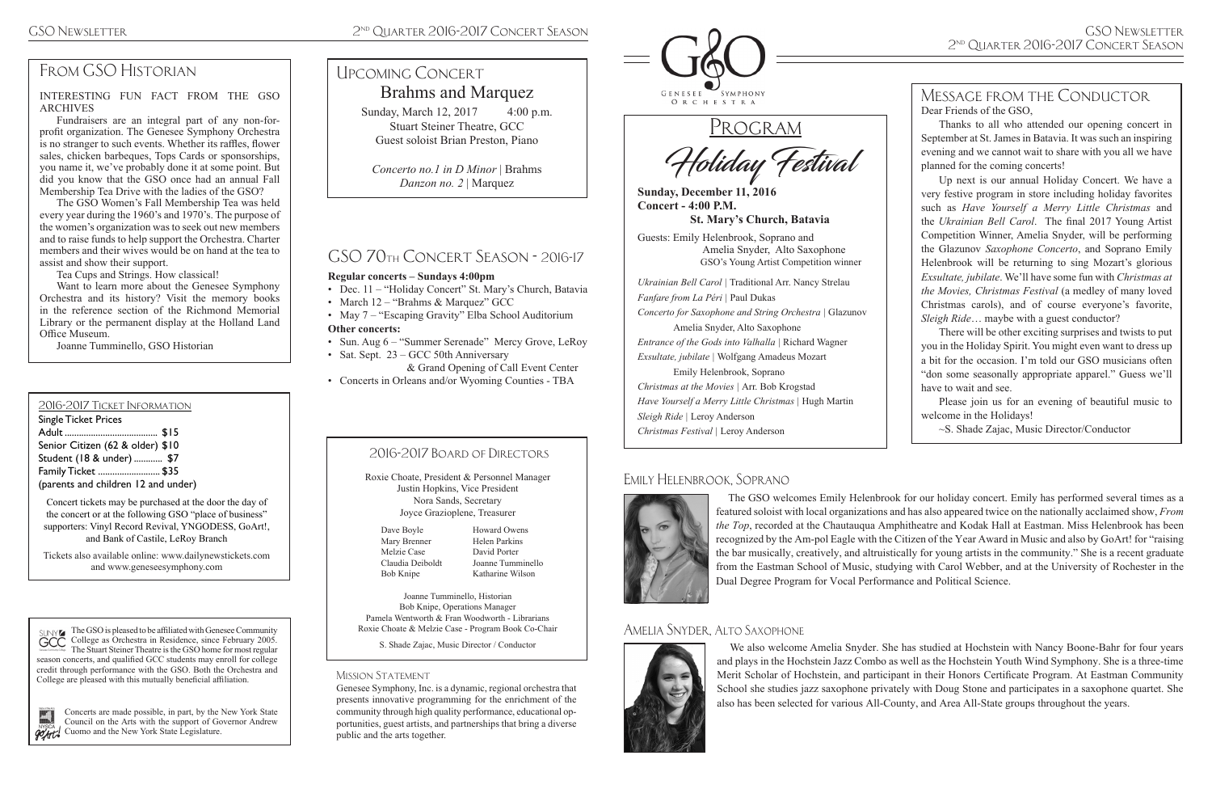# FROM GSO HISTORIAN

 The GSO welcomes Emily Helenbrook for our holiday concert. Emily has performed several times as a featured soloist with local organizations and has also appeared twice on the nationally acclaimed show, *From the Top*, recorded at the Chautauqua Amphitheatre and Kodak Hall at Eastman. Miss Helenbrook has been recognized by the Am-pol Eagle with the Citizen of the Year Award in Music and also by GoArt! for "raising the bar musically, creatively, and altruistically for young artists in the community." She is a recent graduate from the Eastman School of Music, studying with Carol Webber, and at the University of Rochester in the Dual Degree Program for Vocal Performance and Political Science.

 We also welcome Amelia Snyder. She has studied at Hochstein with Nancy Boone-Bahr for four years and plays in the Hochstein Jazz Combo as well as the Hochstein Youth Wind Symphony. She is a three-time Merit Scholar of Hochstein, and participant in their Honors Certificate Program. At Eastman Community School she studies jazz saxophone privately with Doug Stone and participates in a saxophone quartet. She also has been selected for various All-County, and Area All-State groups throughout the years.

Holiday Festival

**Sunday, December 11, 2016 Concert - 4:00 P.M.**

**St. Mary's Church, Batavia**

Guests: Emily Helenbrook, Soprano and Amelia Snyder, Alto Saxophone GSO's Young Artist Competition winner

*Ukrainian Bell Carol |* Traditional Arr. Nancy Strelau *Fanfare from La Péri |* Paul Dukas *Concerto for Saxophone and String Orchestra |* Glazunov Amelia Snyder, Alto Saxophone *Entrance of the Gods into Valhalla |* Richard Wagner *Exsultate, jubilate |* Wolfgang Amadeus Mozart Emily Helenbrook, Soprano *Christmas at the Movies |* Arr. Bob Krogstad *Have Yourself a Merry Little Christmas |* Hugh Martin *Sleigh Ride |* Leroy Anderson *Christmas Festival |* Leroy Anderson

Concerts are made possible, in part, by the New York State Council on the Arts with the support of Governor Andrew **CU** Cuomo and the New York State Legislature.

#### 2016-2017 Ticket Information

Single Ticket Prices Adult ....................................... \$15 Senior Citizen (62 & older) \$10 Student (18 & under) ............. \$7 Family Ticket .......................... \$35

(parents and children 12 and under)

Concert tickets may be purchased at the door the day of the concert or at the following GSO "place of business" supporters: Vinyl Record Revival, YNGODESS, GoArt!, and Bank of Castile, LeRoy Branch

Tickets also available online: www.dailynewstickets.com and www.geneseesymphony.com

Sunday, March 12, 2017 4:00 p.m. Stuart Steiner Theatre, GCC Guest soloist Brian Preston, Piano

Genesee Symphony, Inc. is a dynamic, regional orchestra that presents innovative programming for the enrichment of the community through high quality performance, educational opportunities, guest artists, and partnerships that bring a diverse public and the arts together.



PROGRAM

• Sat. Sept. 23 – GCC 50th Anniversary & Grand Opening of Call Event Center

> Roxie Choate, President & Personnel Manager Justin Hopkins, Vice President Nora Sands, Secretary Joyce Grazioplene, Treasurer

Joanne Tumminello, Historian Bob Knipe, Operations Manager Pamela Wentworth & Fran Woodworth - Librarians Roxie Choate & Melzie Case - Program Book Co-Chair

S. Shade Zajac, Music Director / Conductor

#### MISSION STATEMENT

#### 2016-2017 Board of Directors

Dave Boyle Mary Brenner Melzie Case Claudia Deiboldt Bob Knipe

Howard Owens Helen Parkins David Porter Joanne Tumminello Katharine Wilson

The GSO is pleased to be affiliated with Genesee Community College as Orchestra in Residence, since February 2005. The Stuart Steiner Theatre is the GSO home for most regular season concerts, and qualified GCC students may enroll for college credit through performance with the GSO. Both the Orchestra and College are pleased with this mutually beneficial affiliation.



Message from the Conductor Dear Friends of the GSO, Thanks to all who attended our opening concert in September at St. James in Batavia. It was such an inspiring evening and we cannot wait to share with you all we have planned for the coming concerts! Up next is our annual Holiday Concert. We have a very festive program in store including holiday favorites such as *Have Yourself a Merry Little Christmas* and the *Ukrainian Bell Carol*. The final 2017 Young Artist Competition Winner, Amelia Snyder, will be performing the Glazunov *Saxophone Concerto*, and Soprano Emily Helenbrook will be returning to sing Mozart's glorious *Exsultate, jubilate*. We'll have some fun with *Christmas at the Movies, Christmas Festival* (a medley of many loved Christmas carols), and of course everyone's favorite, *Sleigh Ride*… maybe with a guest conductor? There will be other exciting surprises and twists to put

you in the Holiday Spirit. You might even want to dress up a bit for the occasion. I'm told our GSO musicians often "don some seasonally appropriate apparel." Guess we'll have to wait and see.

Please join us for an evening of beautiful music to welcome in the Holidays!

~S. Shade Zajac, Music Director/Conductor

# Brahms and Marquez Upcoming Concert

*Concerto no.1 in D Minor* | Brahms *Danzon no. 2* | Marquez

# GSO 70th Concert Season - 2016-17

#### **Regular concerts – Sundays 4:00pm**

- Dec. 11 "Holiday Concert" St. Mary's Church, Batavia
- March 12 "Brahms & Marquez" GCC
- May 7 "Escaping Gravity" Elba School Auditorium **Other concerts:**
- Sun. Aug 6 "Summer Serenade" Mercy Grove, LeRoy

• Concerts in Orleans and/or Wyoming Counties - TBA

INTERESTING FUN FACT FROM THE GSO ARCHIVES

Fundraisers are an integral part of any non-forprofit organization. The Genesee Symphony Orchestra is no stranger to such events. Whether its raffles, flower sales, chicken barbeques, Tops Cards or sponsorships, you name it, we've probably done it at some point. But did you know that the GSO once had an annual Fall Membership Tea Drive with the ladies of the GSO?

The GSO Women's Fall Membership Tea was held every year during the 1960's and 1970's. The purpose of the women's organization was to seek out new members and to raise funds to help support the Orchestra. Charter members and their wives would be on hand at the tea to assist and show their support.

Tea Cups and Strings. How classical!

Want to learn more about the Genesee Symphony Orchestra and its history? Visit the memory books in the reference section of the Richmond Memorial Library or the permanent display at the Holland Land Office Museum.

Joanne Tumminello, GSO Historian

#### Amelia Snyder, Alto Saxophone



#### Emily Helenbrook, Soprano